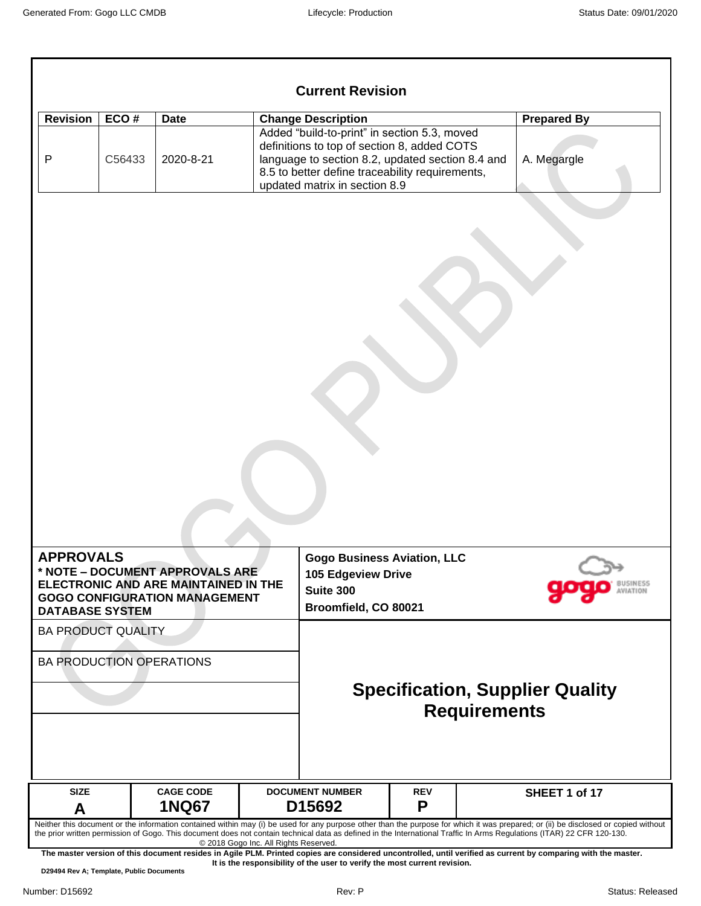|                                                                         |                |                                                                                                                 |                                                                                                      |                                                                                                                                                                                                                   | <b>Prepared By</b>                     |  |  |
|-------------------------------------------------------------------------|----------------|-----------------------------------------------------------------------------------------------------------------|------------------------------------------------------------------------------------------------------|-------------------------------------------------------------------------------------------------------------------------------------------------------------------------------------------------------------------|----------------------------------------|--|--|
| <b>Revision</b><br>$\mathsf{P}$                                         | ECO#<br>C56433 | <b>Date</b><br>2020-8-21                                                                                        | <b>Change Description</b><br>updated matrix in section 8.9                                           | Added "build-to-print" in section 5.3, moved<br>definitions to top of section 8, added COTS<br>language to section 8.2, updated section 8.4 and<br>A. Megargle<br>8.5 to better define traceability requirements, |                                        |  |  |
|                                                                         |                |                                                                                                                 |                                                                                                      |                                                                                                                                                                                                                   |                                        |  |  |
|                                                                         |                | * NOTE - DOCUMENT APPROVALS ARE<br>ELECTRONIC AND ARE MAINTAINED IN THE<br><b>GOGO CONFIGURATION MANAGEMENT</b> | <b>Gogo Business Aviation, LLC</b><br><b>105 Edgeview Drive</b><br>Suite 300<br>Broomfield, CO 80021 |                                                                                                                                                                                                                   | BUSINESS                               |  |  |
| <b>APPROVALS</b><br><b>DATABASE SYSTEM</b><br><b>BA PRODUCT QUALITY</b> |                |                                                                                                                 |                                                                                                      |                                                                                                                                                                                                                   |                                        |  |  |
|                                                                         |                | <b>BA PRODUCTION OPERATIONS</b>                                                                                 |                                                                                                      | <b>Requirements</b>                                                                                                                                                                                               | <b>Specification, Supplier Quality</b> |  |  |
| <b>SIZE</b>                                                             |                | <b>CAGE CODE</b><br><b>1NQ67</b>                                                                                | <b>DOCUMENT NUMBER</b><br>D15692                                                                     | <b>REV</b><br>P                                                                                                                                                                                                   | SHEET 1 of 17                          |  |  |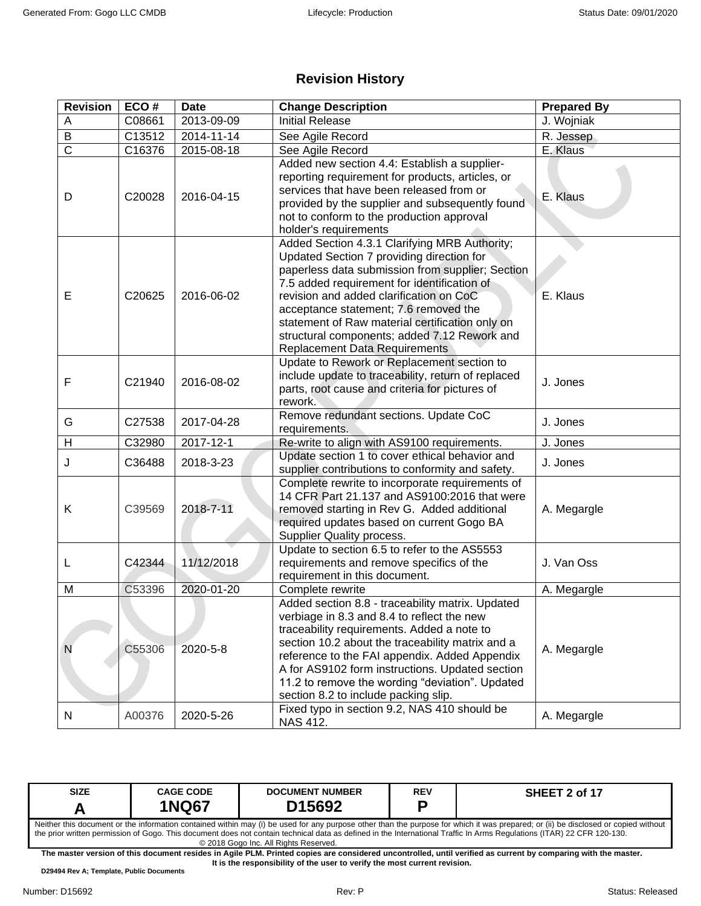## **Revision History**

| <b>Revision</b>       | ECO#   | <b>Date</b> | <b>Change Description</b>                                                                                                                                                                                                                                                                                                                                                                                                    | <b>Prepared By</b> |
|-----------------------|--------|-------------|------------------------------------------------------------------------------------------------------------------------------------------------------------------------------------------------------------------------------------------------------------------------------------------------------------------------------------------------------------------------------------------------------------------------------|--------------------|
| A                     | C08661 | 2013-09-09  | <b>Initial Release</b>                                                                                                                                                                                                                                                                                                                                                                                                       | J. Wojniak         |
| B                     | C13512 | 2014-11-14  | See Agile Record                                                                                                                                                                                                                                                                                                                                                                                                             | R. Jessep          |
| $\overline{\text{c}}$ | C16376 | 2015-08-18  | See Agile Record                                                                                                                                                                                                                                                                                                                                                                                                             | E. Klaus           |
| D                     | C20028 | 2016-04-15  | Added new section 4.4: Establish a supplier-<br>reporting requirement for products, articles, or<br>services that have been released from or<br>provided by the supplier and subsequently found<br>not to conform to the production approval<br>holder's requirements                                                                                                                                                        | E. Klaus           |
| E                     | C20625 | 2016-06-02  | Added Section 4.3.1 Clarifying MRB Authority;<br>Updated Section 7 providing direction for<br>paperless data submission from supplier; Section<br>7.5 added requirement for identification of<br>revision and added clarification on CoC<br>acceptance statement; 7.6 removed the<br>statement of Raw material certification only on<br>structural components; added 7.12 Rework and<br><b>Replacement Data Requirements</b> | E. Klaus           |
| F                     | C21940 | 2016-08-02  | Update to Rework or Replacement section to<br>include update to traceability, return of replaced<br>parts, root cause and criteria for pictures of<br>rework.                                                                                                                                                                                                                                                                | J. Jones           |
| G                     | C27538 | 2017-04-28  | Remove redundant sections. Update CoC<br>requirements.                                                                                                                                                                                                                                                                                                                                                                       | J. Jones           |
| Н                     | C32980 | 2017-12-1   | Re-write to align with AS9100 requirements.                                                                                                                                                                                                                                                                                                                                                                                  | J. Jones           |
| J                     | C36488 | 2018-3-23   | Update section 1 to cover ethical behavior and<br>supplier contributions to conformity and safety.                                                                                                                                                                                                                                                                                                                           | J. Jones           |
| Κ                     | C39569 | 2018-7-11   | Complete rewrite to incorporate requirements of<br>14 CFR Part 21.137 and AS9100:2016 that were<br>removed starting in Rev G. Added additional<br>required updates based on current Gogo BA<br><b>Supplier Quality process.</b>                                                                                                                                                                                              | A. Megargle        |
| L                     | C42344 | 11/12/2018  | Update to section 6.5 to refer to the AS5553<br>requirements and remove specifics of the<br>requirement in this document.                                                                                                                                                                                                                                                                                                    | J. Van Oss         |
| M                     | C53396 | 2020-01-20  | Complete rewrite                                                                                                                                                                                                                                                                                                                                                                                                             | A. Megargle        |
| N                     | C55306 | 2020-5-8    | Added section 8.8 - traceability matrix. Updated<br>verbiage in 8.3 and 8.4 to reflect the new<br>traceability requirements. Added a note to<br>section 10.2 about the traceability matrix and a<br>reference to the FAI appendix. Added Appendix<br>A for AS9102 form instructions. Updated section<br>11.2 to remove the wording "deviation". Updated<br>section 8.2 to include packing slip.                              | A. Megargle        |
| N                     | A00376 | 2020-5-26   | Fixed typo in section 9.2, NAS 410 should be<br>NAS 412.                                                                                                                                                                                                                                                                                                                                                                     | A. Megargle        |

| <b>SIZE</b>                                                                                                                                                            | <b>CAGE CODE</b>                                                                                                                                                                   | <b>DOCUMENT NUMBER</b> | <b>REV</b> | SHEET 2 of 17 |  |  |
|------------------------------------------------------------------------------------------------------------------------------------------------------------------------|------------------------------------------------------------------------------------------------------------------------------------------------------------------------------------|------------------------|------------|---------------|--|--|
|                                                                                                                                                                        | <b>1NQ67</b>                                                                                                                                                                       | D <sub>15692</sub>     |            |               |  |  |
|                                                                                                                                                                        | Neither this document or the information contained within may (i) be used for any purpose other than the purpose for which it was prepared; or (ii) be disclosed or copied without |                        |            |               |  |  |
| the prior written permission of Gogo. This document does not contain technical data as defined in the International Traffic In Arms Regulations (ITAR) 22 CFR 120-130. |                                                                                                                                                                                    |                        |            |               |  |  |
| © 2018 Gogo Inc. All Rights Reserved.                                                                                                                                  |                                                                                                                                                                                    |                        |            |               |  |  |

**The master version of this document resides in Agile PLM. Printed copies are considered uncontrolled, until verified as current by comparing with the master. It is the responsibility of the user to verify the most current revision.**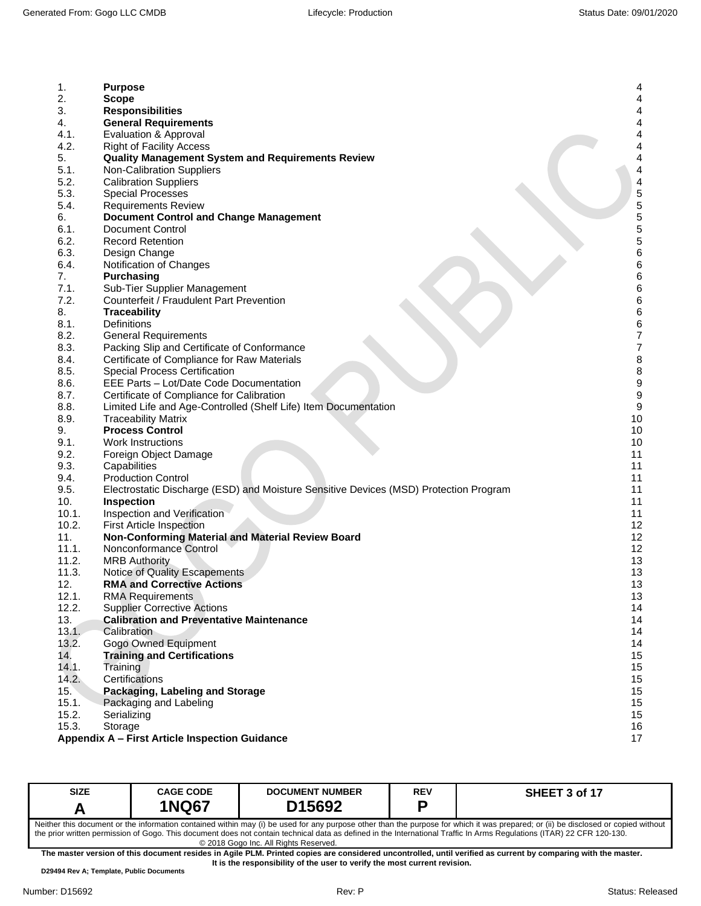| 1.    | <b>Purpose</b>                                                                        | 4                |
|-------|---------------------------------------------------------------------------------------|------------------|
| 2.    | <b>Scope</b>                                                                          | 4                |
| 3.    | <b>Responsibilities</b>                                                               | 4                |
| 4.    | <b>General Requirements</b>                                                           | 4                |
| 4.1.  | Evaluation & Approval                                                                 | 4                |
| 4.2.  | <b>Right of Facility Access</b>                                                       | 4                |
| 5.    |                                                                                       | 4                |
|       | <b>Quality Management System and Requirements Review</b>                              |                  |
| 5.1.  | Non-Calibration Suppliers                                                             | 4                |
| 5.2.  | <b>Calibration Suppliers</b>                                                          | 4                |
| 5.3.  | <b>Special Processes</b>                                                              | 5                |
| 5.4.  | <b>Requirements Review</b>                                                            | 5                |
| 6.    | Document Control and Change Management                                                | 5                |
| 6.1.  | <b>Document Control</b>                                                               | $\frac{5}{5}$    |
| 6.2.  | <b>Record Retention</b>                                                               |                  |
| 6.3.  | Design Change                                                                         | 6                |
| 6.4.  | Notification of Changes                                                               | 6                |
| 7.    | <b>Purchasing</b>                                                                     | 6                |
| 7.1.  | Sub-Tier Supplier Management                                                          | $\,6$            |
| 7.2.  | Counterfeit / Fraudulent Part Prevention                                              | 6                |
| 8.    | <b>Traceability</b>                                                                   | 6                |
| 8.1.  | Definitions                                                                           | 6                |
| 8.2.  | <b>General Requirements</b>                                                           | $\overline{7}$   |
| 8.3.  | Packing Slip and Certificate of Conformance                                           | $\boldsymbol{7}$ |
| 8.4.  | Certificate of Compliance for Raw Materials                                           | 8                |
| 8.5.  | <b>Special Process Certification</b>                                                  | $\bf 8$          |
| 8.6.  | EEE Parts - Lot/Date Code Documentation                                               | 9                |
| 8.7.  | Certificate of Compliance for Calibration                                             | $\boldsymbol{9}$ |
| 8.8.  | Limited Life and Age-Controlled (Shelf Life) Item Documentation                       | 9                |
| 8.9.  | <b>Traceability Matrix</b>                                                            | 10               |
| 9.    | <b>Process Control</b>                                                                | 10               |
| 9.1.  | <b>Work Instructions</b>                                                              | 10               |
| 9.2.  | Foreign Object Damage                                                                 | 11               |
| 9.3.  | Capabilities                                                                          | 11               |
| 9.4.  | <b>Production Control</b>                                                             | 11               |
| 9.5.  | Electrostatic Discharge (ESD) and Moisture Sensitive Devices (MSD) Protection Program | 11               |
| 10.   | <b>Inspection</b>                                                                     | 11               |
| 10.1. | Inspection and Verification                                                           | 11               |
| 10.2. | <b>First Article Inspection</b>                                                       | 12               |
| 11.   | Non-Conforming Material and Material Review Board                                     | 12               |
| 11.1. | Nonconformance Control                                                                | 12               |
| 11.2. | <b>MRB Authority</b>                                                                  | 13               |
| 11.3. | Notice of Quality Escapements                                                         | 13               |
| 12.   | <b>RMA and Corrective Actions</b>                                                     | 13               |
| 12.1. | <b>RMA Requirements</b>                                                               | 13               |
| 12.2. | <b>Supplier Corrective Actions</b>                                                    | 14               |
| 13.   | <b>Calibration and Preventative Maintenance</b>                                       | 14               |
| 13.1. | Calibration                                                                           | 14               |
| 13.2. | <b>Gogo Owned Equipment</b>                                                           | 14               |
| 14.   | <b>Training and Certifications</b>                                                    | 15               |
| 14.1. | Training                                                                              | 15               |
| 14.2. | Certifications                                                                        | 15               |
| 15.   | Packaging, Labeling and Storage                                                       | 15               |
| 15.1. | Packaging and Labeling                                                                | 15               |
| 15.2. | Serializing                                                                           | 15               |
| 15.3. | Storage                                                                               | 16               |
|       | Appendix A - First Article Inspection Guidance                                        | 17               |
|       |                                                                                       |                  |

| <b>SIZE</b>                                                                                                                                                                                                                                                                                                                                                                                           | <b>CAGE CODE</b><br><b>1NQ67</b> | <b>DOCUMENT NUMBER</b><br>D15692 |  | SHEET 3 of 17 |  |  |
|-------------------------------------------------------------------------------------------------------------------------------------------------------------------------------------------------------------------------------------------------------------------------------------------------------------------------------------------------------------------------------------------------------|----------------------------------|----------------------------------|--|---------------|--|--|
| Neither this document or the information contained within may (i) be used for any purpose other than the purpose for which it was prepared; or (ii) be disclosed or copied without<br>the prior written permission of Gogo. This document does not contain technical data as defined in the International Traffic In Arms Regulations (ITAR) 22 CFR 120-130.<br>© 2018 Gogo Inc. All Rights Reserved. |                                  |                                  |  |               |  |  |
| The master version of this document resides in Agile PLM. Printed copies are considered uncontrolled, until verified as current by comparing with the master,                                                                                                                                                                                                                                         |                                  |                                  |  |               |  |  |

**The master version of this document resides in Agile PLM. Printed copies are considered uncontrolled, until verified as current by comparing with the master. It is the responsibility of the user to verify the most current revision.**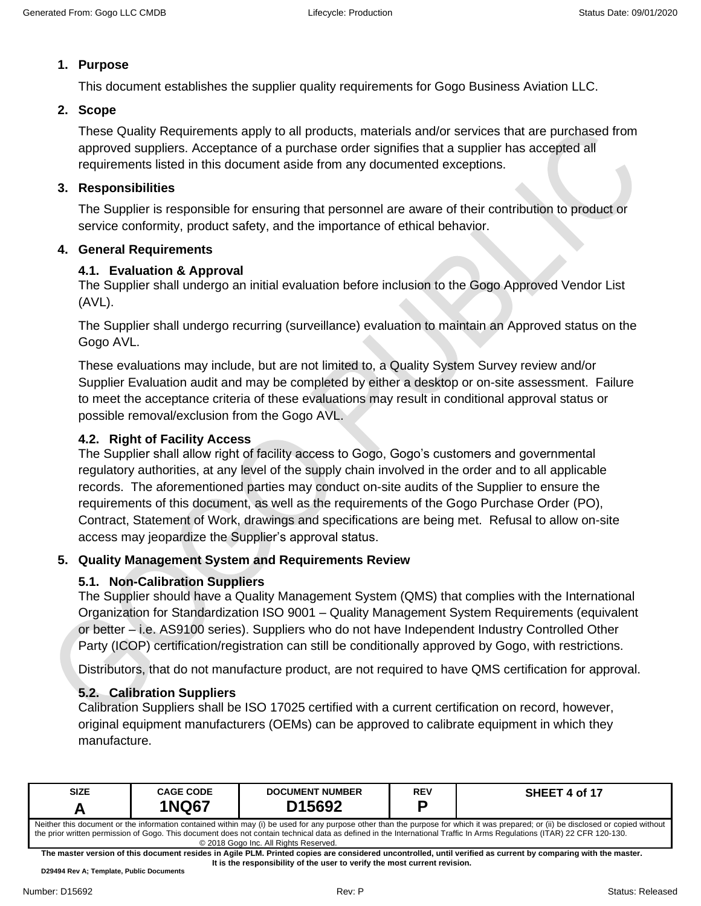### <span id="page-3-0"></span>**1. Purpose**

This document establishes the supplier quality requirements for Gogo Business Aviation LLC.

### <span id="page-3-1"></span>**2. Scope**

These Quality Requirements apply to all products, materials and/or services that are purchased from approved suppliers. Acceptance of a purchase order signifies that a supplier has accepted all requirements listed in this document aside from any documented exceptions.

#### <span id="page-3-2"></span>**3. Responsibilities**

The Supplier is responsible for ensuring that personnel are aware of their contribution to product or service conformity, product safety, and the importance of ethical behavior.

#### <span id="page-3-4"></span><span id="page-3-3"></span>**4. General Requirements**

### **4.1. Evaluation & Approval**

The Supplier shall undergo an initial evaluation before inclusion to the Gogo Approved Vendor List (AVL).

The Supplier shall undergo recurring (surveillance) evaluation to maintain an Approved status on the Gogo AVL.

These evaluations may include, but are not limited to, a Quality System Survey review and/or Supplier Evaluation audit and may be completed by either a desktop or on-site assessment. Failure to meet the acceptance criteria of these evaluations may result in conditional approval status or possible removal/exclusion from the Gogo AVL.

### <span id="page-3-5"></span>**4.2. Right of Facility Access**

The Supplier shall allow right of facility access to Gogo, Gogo's customers and governmental regulatory authorities, at any level of the supply chain involved in the order and to all applicable records. The aforementioned parties may conduct on-site audits of the Supplier to ensure the requirements of this document, as well as the requirements of the Gogo Purchase Order (PO), Contract, Statement of Work, drawings and specifications are being met. Refusal to allow on-site access may jeopardize the Supplier's approval status.

### <span id="page-3-7"></span><span id="page-3-6"></span>**5. Quality Management System and Requirements Review**

### **5.1. Non-Calibration Suppliers**

The Supplier should have a Quality Management System (QMS) that complies with the International Organization for Standardization ISO 9001 – Quality Management System Requirements (equivalent or better – i.e. AS9100 series). Suppliers who do not have Independent Industry Controlled Other Party (ICOP) certification/registration can still be conditionally approved by Gogo, with restrictions.

Distributors, that do not manufacture product, are not required to have QMS certification for approval.

### <span id="page-3-8"></span>**5.2. Calibration Suppliers**

Calibration Suppliers shall be ISO 17025 certified with a current certification on record, however, original equipment manufacturers (OEMs) can be approved to calibrate equipment in which they manufacture.

| <b>SIZE</b>                                                                                                                                                                                                                                                                                                                                                                                           | <b>CAGE CODE</b><br><b>1NQ67</b> | <b>DOCUMENT NUMBER</b><br>D <sub>15692</sub> | REV<br>D | SHEET 4 of 17 |  |  |
|-------------------------------------------------------------------------------------------------------------------------------------------------------------------------------------------------------------------------------------------------------------------------------------------------------------------------------------------------------------------------------------------------------|----------------------------------|----------------------------------------------|----------|---------------|--|--|
| Neither this document or the information contained within may (i) be used for any purpose other than the purpose for which it was prepared; or (ii) be disclosed or copied without<br>the prior written permission of Gogo. This document does not contain technical data as defined in the International Traffic In Arms Regulations (ITAR) 22 CFR 120-130.<br>© 2018 Gogo Inc. All Rights Reserved. |                                  |                                              |          |               |  |  |

**The master version of this document resides in Agile PLM. Printed copies are considered uncontrolled, until verified as current by comparing with the master. It is the responsibility of the user to verify the most current revision.**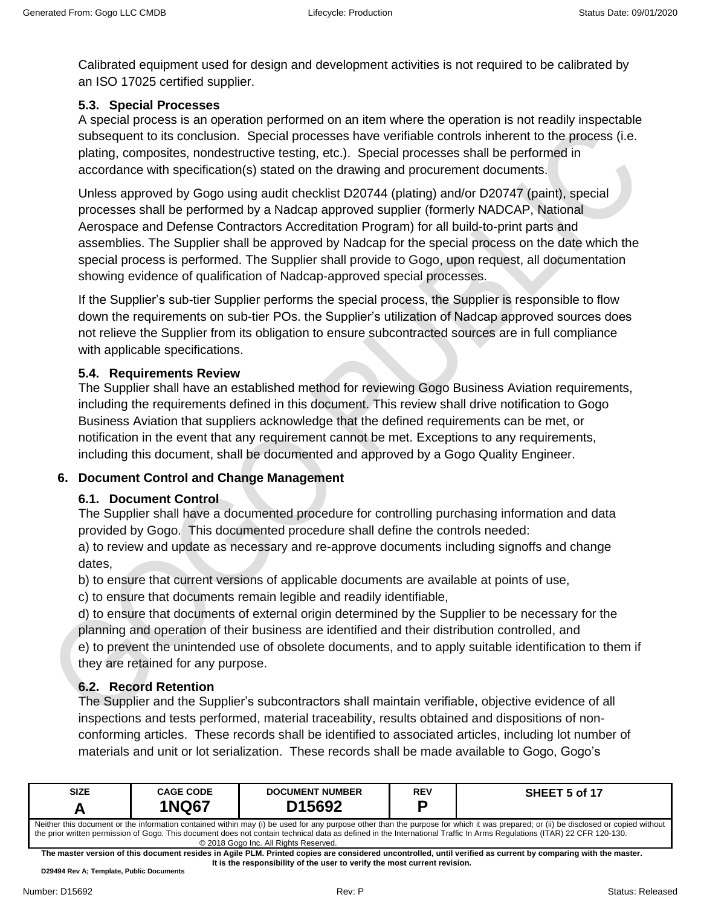Calibrated equipment used for design and development activities is not required to be calibrated by an ISO 17025 certified supplier.

### <span id="page-4-0"></span>**5.3. Special Processes**

A special process is an operation performed on an item where the operation is not readily inspectable subsequent to its conclusion. Special processes have verifiable controls inherent to the process (i.e. plating, composites, nondestructive testing, etc.). Special processes shall be performed in accordance with specification(s) stated on the drawing and procurement documents.

Unless approved by Gogo using audit checklist D20744 (plating) and/or D20747 (paint), special processes shall be performed by a Nadcap approved supplier (formerly NADCAP, National Aerospace and Defense Contractors Accreditation Program) for all build-to-print parts and assemblies. The Supplier shall be approved by Nadcap for the special process on the date which the special process is performed. The Supplier shall provide to Gogo, upon request, all documentation showing evidence of qualification of Nadcap-approved special processes.

If the Supplier's sub-tier Supplier performs the special process, the Supplier is responsible to flow down the requirements on sub-tier POs. the Supplier's utilization of Nadcap approved sources does not relieve the Supplier from its obligation to ensure subcontracted sources are in full compliance with applicable specifications.

#### <span id="page-4-1"></span>**5.4. Requirements Review**

The Supplier shall have an established method for reviewing Gogo Business Aviation requirements, including the requirements defined in this document. This review shall drive notification to Gogo Business Aviation that suppliers acknowledge that the defined requirements can be met, or notification in the event that any requirement cannot be met. Exceptions to any requirements, including this document, shall be documented and approved by a Gogo Quality Engineer.

### <span id="page-4-3"></span><span id="page-4-2"></span>**6. Document Control and Change Management**

### **6.1. Document Control**

The Supplier shall have a documented procedure for controlling purchasing information and data provided by Gogo. This documented procedure shall define the controls needed:

a) to review and update as necessary and re-approve documents including signoffs and change dates,

b) to ensure that current versions of applicable documents are available at points of use,

c) to ensure that documents remain legible and readily identifiable,

d) to ensure that documents of external origin determined by the Supplier to be necessary for the planning and operation of their business are identified and their distribution controlled, and e) to prevent the unintended use of obsolete documents, and to apply suitable identification to them if they are retained for any purpose.

### <span id="page-4-4"></span>**6.2. Record Retention**

The Supplier and the Supplier's subcontractors shall maintain verifiable, objective evidence of all inspections and tests performed, material traceability, results obtained and dispositions of nonconforming articles. These records shall be identified to associated articles, including lot number of materials and unit or lot serialization. These records shall be made available to Gogo, Gogo's

| <b>SIZE</b>                                                                                                                                                                                                                                                                                                                                                  | <b>CAGE CODE</b> | <b>DOCUMENT NUMBER</b> | REV | SHEET 5 of 17 |  |
|--------------------------------------------------------------------------------------------------------------------------------------------------------------------------------------------------------------------------------------------------------------------------------------------------------------------------------------------------------------|------------------|------------------------|-----|---------------|--|
|                                                                                                                                                                                                                                                                                                                                                              | <b>1NQ67</b>     | D <sub>15692</sub>     | D   |               |  |
| Neither this document or the information contained within may (i) be used for any purpose other than the purpose for which it was prepared; or (ii) be disclosed or copied without<br>the prior written permission of Gogo. This document does not contain technical data as defined in the International Traffic In Arms Regulations (ITAR) 22 CFR 120-130. |                  |                        |     |               |  |
| © 2018 Gogo Inc. All Rights Reserved.                                                                                                                                                                                                                                                                                                                        |                  |                        |     |               |  |

**The master version of this document resides in Agile PLM. Printed copies are considered uncontrolled, until verified as current by comparing with the master. It is the responsibility of the user to verify the most current revision.**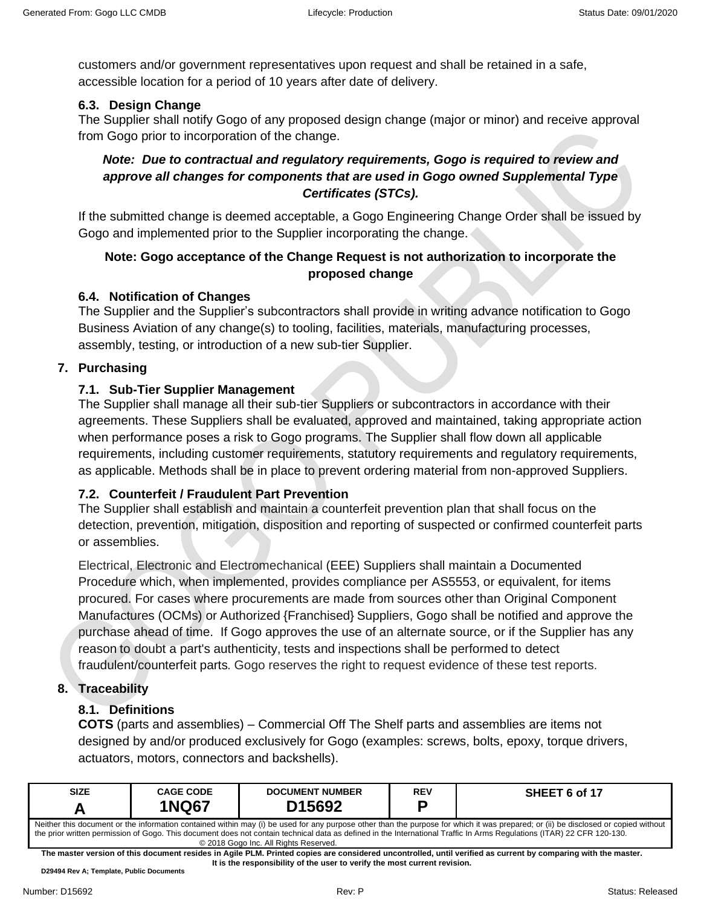customers and/or government representatives upon request and shall be retained in a safe, accessible location for a period of 10 years after date of delivery.

#### <span id="page-5-0"></span>**6.3. Design Change**

The Supplier shall notify Gogo of any proposed design change (major or minor) and receive approval from Gogo prior to incorporation of the change.

### *Note: Due to contractual and regulatory requirements, Gogo is required to review and approve all changes for components that are used in Gogo owned Supplemental Type Certificates (STCs).*

If the submitted change is deemed acceptable, a Gogo Engineering Change Order shall be issued by Gogo and implemented prior to the Supplier incorporating the change.

### **Note: Gogo acceptance of the Change Request is not authorization to incorporate the proposed change**

### <span id="page-5-1"></span>**6.4. Notification of Changes**

The Supplier and the Supplier's subcontractors shall provide in writing advance notification to Gogo Business Aviation of any change(s) to tooling, facilities, materials, manufacturing processes, assembly, testing, or introduction of a new sub-tier Supplier.

### <span id="page-5-3"></span><span id="page-5-2"></span>**7. Purchasing**

### **7.1. Sub-Tier Supplier Management**

The Supplier shall manage all their sub-tier Suppliers or subcontractors in accordance with their agreements. These Suppliers shall be evaluated, approved and maintained, taking appropriate action when performance poses a risk to Gogo programs. The Supplier shall flow down all applicable requirements, including customer requirements, statutory requirements and regulatory requirements, as applicable. Methods shall be in place to prevent ordering material from non-approved Suppliers.

### <span id="page-5-4"></span>**7.2. Counterfeit / Fraudulent Part Prevention**

The Supplier shall establish and maintain a counterfeit prevention plan that shall focus on the detection, prevention, mitigation, disposition and reporting of suspected or confirmed counterfeit parts or assemblies.

Electrical, Electronic and Electromechanical (EEE) Suppliers shall maintain a Documented Procedure which, when implemented, provides compliance per AS5553, or equivalent, for items procured. For cases where procurements are made from sources other than Original Component Manufactures (OCMs) or Authorized {Franchised} Suppliers, Gogo shall be notified and approve the purchase ahead of time. If Gogo approves the use of an alternate source, or if the Supplier has any reason to doubt a part's authenticity, tests and inspections shall be performed to detect fraudulent/counterfeit parts. Gogo reserves the right to request evidence of these test reports.

#### <span id="page-5-6"></span><span id="page-5-5"></span>**8. Traceability**

### **8.1. Definitions**

**COTS** (parts and assemblies) – Commercial Off The Shelf parts and assemblies are items not designed by and/or produced exclusively for Gogo (examples: screws, bolts, epoxy, torque drivers, actuators, motors, connectors and backshells).

| <b>SIZE</b>                                                                                                                                                                                                                                                                                                                                                  | <b>CAGE CODE</b><br><b>1NQ67</b> | <b>DOCUMENT NUMBER</b><br>D <sub>15692</sub> | <b>REV</b> | SHEET 6 of 17 |  |
|--------------------------------------------------------------------------------------------------------------------------------------------------------------------------------------------------------------------------------------------------------------------------------------------------------------------------------------------------------------|----------------------------------|----------------------------------------------|------------|---------------|--|
| Neither this document or the information contained within may (i) be used for any purpose other than the purpose for which it was prepared; or (ii) be disclosed or copied without<br>the prior written permission of Gogo. This document does not contain technical data as defined in the International Traffic In Arms Regulations (ITAR) 22 CFR 120-130. |                                  |                                              |            |               |  |

 © 2018 Gogo Inc. All Rights Reserved. **The master version of this document resides in Agile PLM. Printed copies are considered uncontrolled, until verified as current by comparing with the master. It is the responsibility of the user to verify the most current revision.**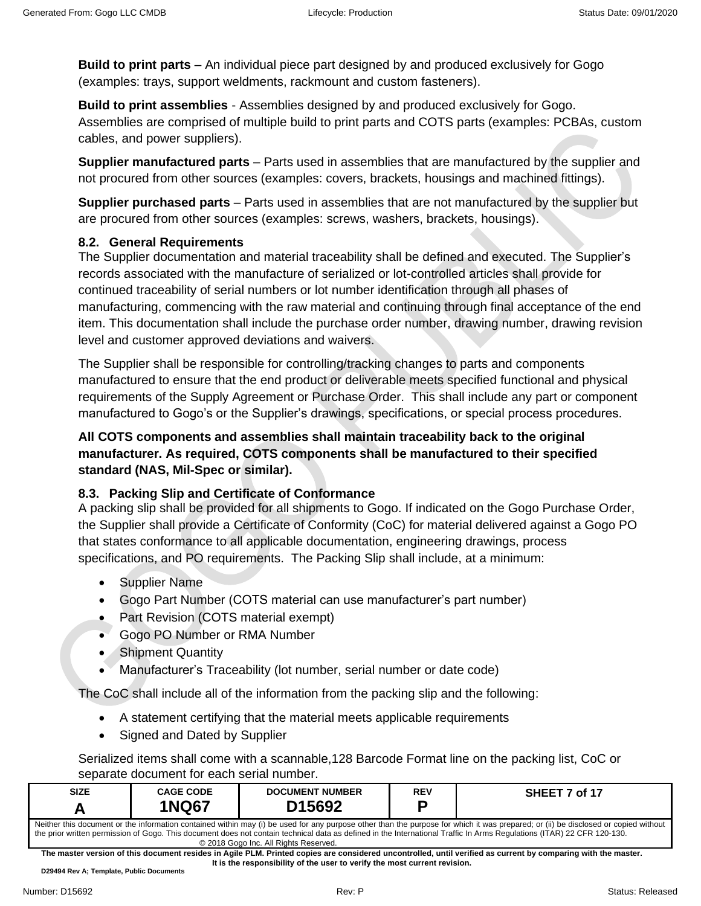**Build to print parts** – An individual piece part designed by and produced exclusively for Gogo (examples: trays, support weldments, rackmount and custom fasteners).

**Build to print assemblies** - Assemblies designed by and produced exclusively for Gogo. Assemblies are comprised of multiple build to print parts and COTS parts (examples: PCBAs, custom cables, and power suppliers).

**Supplier manufactured parts** – Parts used in assemblies that are manufactured by the supplier and not procured from other sources (examples: covers, brackets, housings and machined fittings).

**Supplier purchased parts** – Parts used in assemblies that are not manufactured by the supplier but are procured from other sources (examples: screws, washers, brackets, housings).

## <span id="page-6-0"></span>**8.2. General Requirements**

The Supplier documentation and material traceability shall be defined and executed. The Supplier's records associated with the manufacture of serialized or lot-controlled articles shall provide for continued traceability of serial numbers or lot number identification through all phases of manufacturing, commencing with the raw material and continuing through final acceptance of the end item. This documentation shall include the purchase order number, drawing number, drawing revision level and customer approved deviations and waivers.

The Supplier shall be responsible for controlling/tracking changes to parts and components manufactured to ensure that the end product or deliverable meets specified functional and physical requirements of the Supply Agreement or Purchase Order. This shall include any part or component manufactured to Gogo's or the Supplier's drawings, specifications, or special process procedures.

**All COTS components and assemblies shall maintain traceability back to the original manufacturer. As required, COTS components shall be manufactured to their specified standard (NAS, Mil-Spec or similar).**

## <span id="page-6-1"></span>**8.3. Packing Slip and Certificate of Conformance**

A packing slip shall be provided for all shipments to Gogo. If indicated on the Gogo Purchase Order, the Supplier shall provide a Certificate of Conformity (CoC) for material delivered against a Gogo PO that states conformance to all applicable documentation, engineering drawings, process specifications, and PO requirements. The Packing Slip shall include, at a minimum:

- Supplier Name
- Gogo Part Number (COTS material can use manufacturer's part number)
- Part Revision (COTS material exempt)
- Gogo PO Number or RMA Number
- Shipment Quantity
- Manufacturer's Traceability (lot number, serial number or date code)

The CoC shall include all of the information from the packing slip and the following:

- A statement certifying that the material meets applicable requirements
- Signed and Dated by Supplier

Serialized items shall come with a scannable,128 Barcode Format line on the packing list, CoC or separate document for each serial number.

| <b>SIZE</b>                                                                                                                                                                                                                                                                                                                                                                                           | <b>CAGE CODE</b><br><b>1NQ67</b> | <b>DOCUMENT NUMBER</b><br>D <sub>15692</sub> | <b>REV</b> | SHEET 7 of 17 |  |
|-------------------------------------------------------------------------------------------------------------------------------------------------------------------------------------------------------------------------------------------------------------------------------------------------------------------------------------------------------------------------------------------------------|----------------------------------|----------------------------------------------|------------|---------------|--|
| Neither this document or the information contained within may (i) be used for any purpose other than the purpose for which it was prepared; or (ii) be disclosed or copied without<br>the prior written permission of Gogo. This document does not contain technical data as defined in the International Traffic In Arms Regulations (ITAR) 22 CFR 120-130.<br>© 2018 Gogo Inc. All Rights Reserved. |                                  |                                              |            |               |  |

**The master version of this document resides in Agile PLM. Printed copies are considered uncontrolled, until verified as current by comparing with the master. It is the responsibility of the user to verify the most current revision.**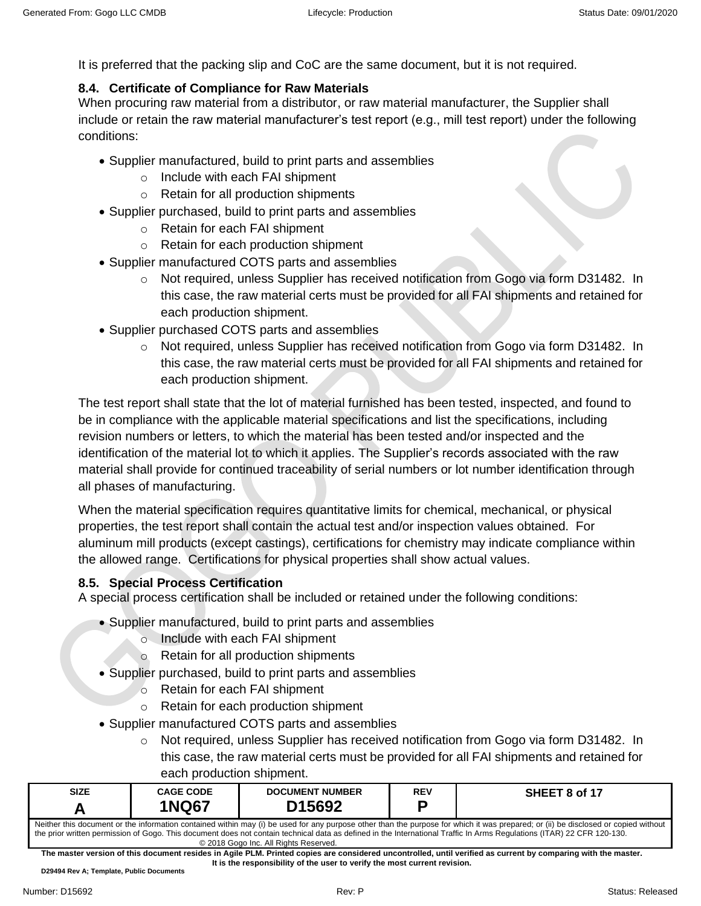It is preferred that the packing slip and CoC are the same document, but it is not required.

# <span id="page-7-0"></span>**8.4. Certificate of Compliance for Raw Materials**

When procuring raw material from a distributor, or raw material manufacturer, the Supplier shall include or retain the raw material manufacturer's test report (e.g., mill test report) under the following conditions:

- Supplier manufactured, build to print parts and assemblies
	- o Include with each FAI shipment
	- o Retain for all production shipments
- Supplier purchased, build to print parts and assemblies
	- o Retain for each FAI shipment
	- o Retain for each production shipment
- Supplier manufactured COTS parts and assemblies
	- o Not required, unless Supplier has received notification from Gogo via form D31482. In this case, the raw material certs must be provided for all FAI shipments and retained for each production shipment.
- Supplier purchased COTS parts and assemblies
	- o Not required, unless Supplier has received notification from Gogo via form D31482. In this case, the raw material certs must be provided for all FAI shipments and retained for each production shipment.

The test report shall state that the lot of material furnished has been tested, inspected, and found to be in compliance with the applicable material specifications and list the specifications, including revision numbers or letters, to which the material has been tested and/or inspected and the identification of the material lot to which it applies. The Supplier's records associated with the raw material shall provide for continued traceability of serial numbers or lot number identification through all phases of manufacturing.

When the material specification requires quantitative limits for chemical, mechanical, or physical properties, the test report shall contain the actual test and/or inspection values obtained. For aluminum mill products (except castings), certifications for chemistry may indicate compliance within the allowed range. Certifications for physical properties shall show actual values.

### <span id="page-7-1"></span>**8.5. Special Process Certification**

A special process certification shall be included or retained under the following conditions:

- Supplier manufactured, build to print parts and assemblies
	- o Include with each FAI shipment
	- o Retain for all production shipments
- Supplier purchased, build to print parts and assemblies
	- o Retain for each FAI shipment
	- o Retain for each production shipment
- Supplier manufactured COTS parts and assemblies
	- o Not required, unless Supplier has received notification from Gogo via form D31482. In this case, the raw material certs must be provided for all FAI shipments and retained for each production shipment.

| <b>SIZE</b>                                                                                                                                                                        | <b>CAGE CODE</b> | <b>DOCUMENT NUMBER</b> | <b>REV</b> | SHEET 8 of 17 |  |
|------------------------------------------------------------------------------------------------------------------------------------------------------------------------------------|------------------|------------------------|------------|---------------|--|
|                                                                                                                                                                                    | <b>INQ67</b>     | D15692                 |            |               |  |
| Neither this document or the information contained within may (i) be used for any purpose other than the purpose for which it was prepared; or (ii) be disclosed or copied without |                  |                        |            |               |  |

the prior written permission of Gogo. This document does not contain technical data as defined in the International Traffic In Arms Regulations (ITAR) 22 CFR 120-130. © 2018 Gogo Inc. All Rights Reserved.

**The master version of this document resides in Agile PLM. Printed copies are considered uncontrolled, until verified as current by comparing with the master. It is the responsibility of the user to verify the most current revision.**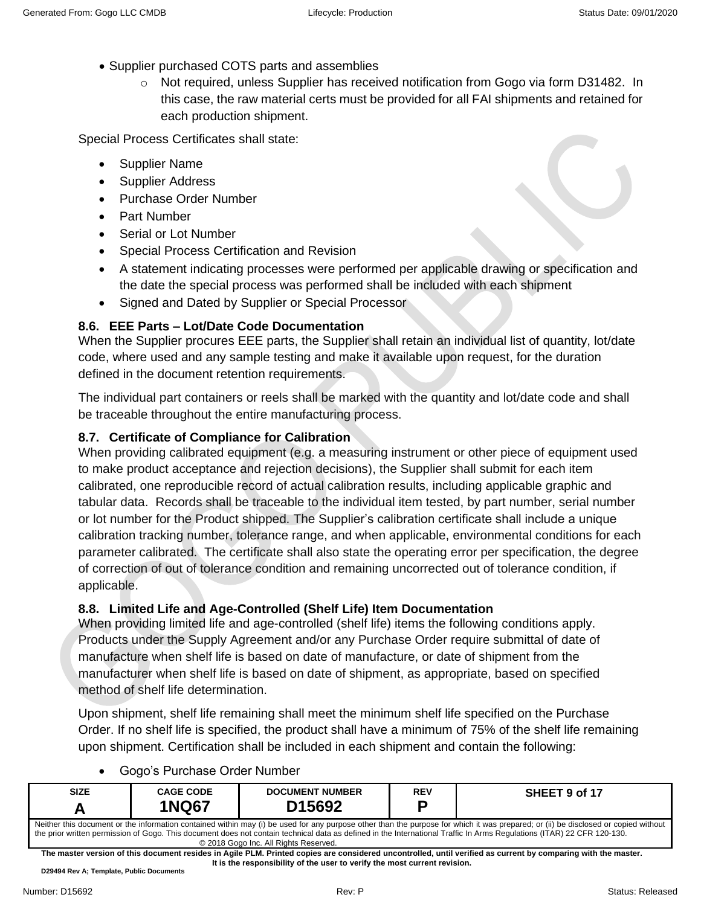- Supplier purchased COTS parts and assemblies
	- o Not required, unless Supplier has received notification from Gogo via form D31482. In this case, the raw material certs must be provided for all FAI shipments and retained for each production shipment.

Special Process Certificates shall state:

- Supplier Name
- Supplier Address
- Purchase Order Number
- Part Number
- **Serial or Lot Number**
- Special Process Certification and Revision
- A statement indicating processes were performed per applicable drawing or specification and the date the special process was performed shall be included with each shipment
- Signed and Dated by Supplier or Special Processor

# <span id="page-8-0"></span>**8.6. EEE Parts – Lot/Date Code Documentation**

When the Supplier procures EEE parts, the Supplier shall retain an individual list of quantity, lot/date code, where used and any sample testing and make it available upon request, for the duration defined in the document retention requirements.

The individual part containers or reels shall be marked with the quantity and lot/date code and shall be traceable throughout the entire manufacturing process.

# <span id="page-8-1"></span>**8.7. Certificate of Compliance for Calibration**

When providing calibrated equipment (e.g. a measuring instrument or other piece of equipment used to make product acceptance and rejection decisions), the Supplier shall submit for each item calibrated, one reproducible record of actual calibration results, including applicable graphic and tabular data. Records shall be traceable to the individual item tested, by part number, serial number or lot number for the Product shipped. The Supplier's calibration certificate shall include a unique calibration tracking number, tolerance range, and when applicable, environmental conditions for each parameter calibrated. The certificate shall also state the operating error per specification, the degree of correction of out of tolerance condition and remaining uncorrected out of tolerance condition, if applicable.

# <span id="page-8-2"></span>**8.8. Limited Life and Age-Controlled (Shelf Life) Item Documentation**

When providing limited life and age-controlled (shelf life) items the following conditions apply. Products under the Supply Agreement and/or any Purchase Order require submittal of date of manufacture when shelf life is based on date of manufacture, or date of shipment from the manufacturer when shelf life is based on date of shipment, as appropriate, based on specified method of shelf life determination.

Upon shipment, shelf life remaining shall meet the minimum shelf life specified on the Purchase Order. If no shelf life is specified, the product shall have a minimum of 75% of the shelf life remaining upon shipment. Certification shall be included in each shipment and contain the following:

- **SIZE A CAGE CODE 1NQ67 DOCUMENT NUMBER D15692 REV P SHEET 9 of 17** Neither this document or the information contained within may (i) be used for any purpose other than the purpose for which it was prepared; or (ii) be disclosed or copied without the prior written permission of Gogo. This document does not contain technical data as defined in the International Traffic In Arms Regulations (ITAR) 22 CFR 120-130. © 2018 Gogo Inc. All Rights Reserved.
- Gogo's Purchase Order Number

**The master version of this document resides in Agile PLM. Printed copies are considered uncontrolled, until verified as current by comparing with the master. It is the responsibility of the user to verify the most current revision.**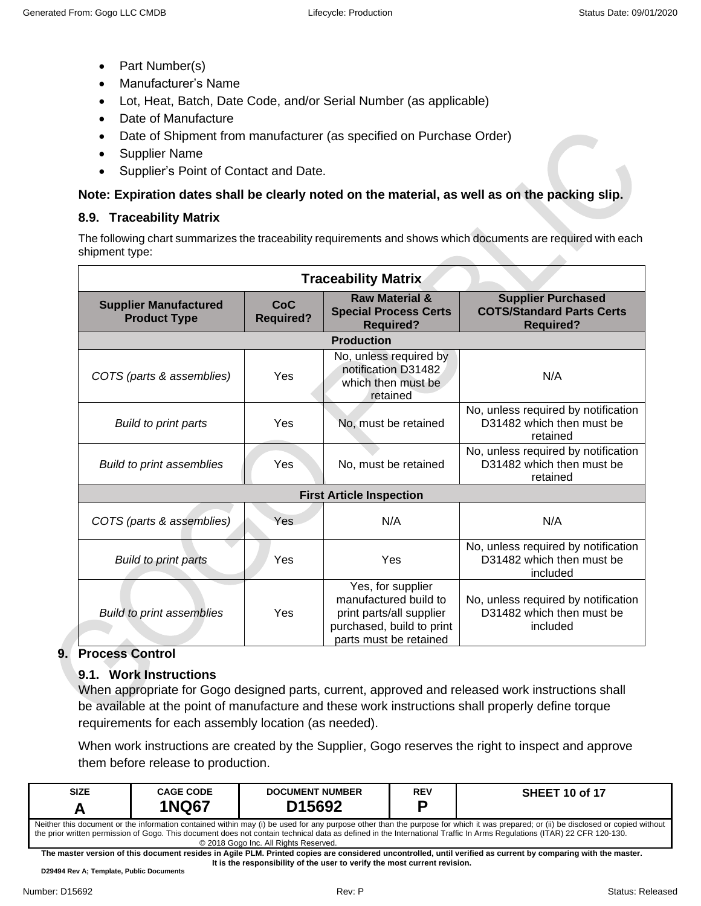- Part Number(s)
- Manufacturer's Name
- Lot, Heat, Batch, Date Code, and/or Serial Number (as applicable)
- Date of Manufacture
- Date of Shipment from manufacturer (as specified on Purchase Order)
- Supplier Name
- Supplier's Point of Contact and Date.

# **Note: Expiration dates shall be clearly noted on the material, as well as on the packing slip.**

# <span id="page-9-0"></span>**8.9. Traceability Matrix**

The following chart summarizes the traceability requirements and shows which documents are required with each shipment type:

| <b>Traceability Matrix</b>                          |                         |                                                                                                                               |                                                                                   |  |  |
|-----------------------------------------------------|-------------------------|-------------------------------------------------------------------------------------------------------------------------------|-----------------------------------------------------------------------------------|--|--|
| <b>Supplier Manufactured</b><br><b>Product Type</b> | CoC<br><b>Required?</b> | <b>Raw Material &amp;</b><br><b>Special Process Certs</b><br><b>Required?</b>                                                 | <b>Supplier Purchased</b><br><b>COTS/Standard Parts Certs</b><br><b>Required?</b> |  |  |
| <b>Production</b>                                   |                         |                                                                                                                               |                                                                                   |  |  |
| COTS (parts & assemblies)                           | Yes                     | No, unless required by<br>notification D31482<br>which then must be<br>retained                                               | N/A                                                                               |  |  |
| Build to print parts                                | Yes                     | No, must be retained                                                                                                          | No, unless required by notification<br>D31482 which then must be<br>retained      |  |  |
| <b>Build to print assemblies</b>                    | Yes                     | No, must be retained                                                                                                          | No, unless required by notification<br>D31482 which then must be<br>retained      |  |  |
|                                                     |                         | <b>First Article Inspection</b>                                                                                               |                                                                                   |  |  |
| COTS (parts & assemblies)                           | Yes                     | N/A                                                                                                                           | N/A                                                                               |  |  |
| Build to print parts                                | Yes                     | Yes                                                                                                                           | No, unless required by notification<br>D31482 which then must be<br>included      |  |  |
| <b>Build to print assemblies</b>                    | Yes                     | Yes, for supplier<br>manufactured build to<br>print parts/all supplier<br>purchased, build to print<br>parts must be retained | No, unless required by notification<br>D31482 which then must be<br>included      |  |  |

# <span id="page-9-2"></span><span id="page-9-1"></span>**9. Process Control**

# **9.1. Work Instructions**

When appropriate for Gogo designed parts, current, approved and released work instructions shall be available at the point of manufacture and these work instructions shall properly define torque requirements for each assembly location (as needed).

When work instructions are created by the Supplier, Gogo reserves the right to inspect and approve them before release to production.

| <b>SIZE</b>                                                                                                                                                                                                                                                                                          | <b>CAGE CODE</b> | <b>DOCUMENT NUMBER</b> | REV | <b>SHEET 10 of 17</b> |  |
|------------------------------------------------------------------------------------------------------------------------------------------------------------------------------------------------------------------------------------------------------------------------------------------------------|------------------|------------------------|-----|-----------------------|--|
|                                                                                                                                                                                                                                                                                                      | <b>NQ67</b>      | D15692                 | n   |                       |  |
| Neither this document or the information contained within may (i) be used for any purpose other than the purpose for which it was prepared; or (ii) be disclosed or copied without<br>u 'w 'r computer it is it it it in it is it it in a strik of the most of the computer of the strike of the str |                  |                        |     |                       |  |

the prior written permission of Gogo. This document does not contain technical data as defined in the International Traffic In Arms Regulations (ITAR) 22 CFR 120-130. © 2018 Gogo Inc. All Rights Reserved.

**The master version of this document resides in Agile PLM. Printed copies are considered uncontrolled, until verified as current by comparing with the master. It is the responsibility of the user to verify the most current revision.**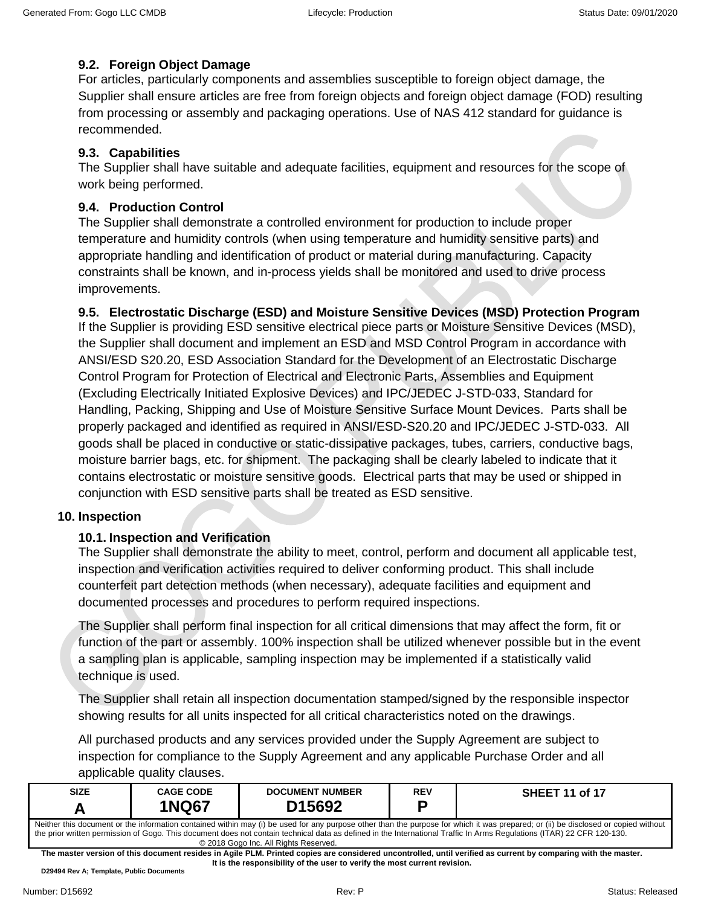## <span id="page-10-0"></span>**9.2. Foreign Object Damage**

For articles, particularly components and assemblies susceptible to foreign object damage, the Supplier shall ensure articles are free from foreign objects and foreign object damage (FOD) resulting from processing or assembly and packaging operations. Use of NAS 412 standard for guidance is recommended.

# <span id="page-10-1"></span>**9.3. Capabilities**

The Supplier shall have suitable and adequate facilities, equipment and resources for the scope of work being performed.

# <span id="page-10-2"></span>**9.4. Production Control**

The Supplier shall demonstrate a controlled environment for production to include proper temperature and humidity controls (when using temperature and humidity sensitive parts) and appropriate handling and identification of product or material during manufacturing. Capacity constraints shall be known, and in-process yields shall be monitored and used to drive process improvements.

## <span id="page-10-3"></span>**9.5. Electrostatic Discharge (ESD) and Moisture Sensitive Devices (MSD) Protection Program**

If the Supplier is providing ESD sensitive electrical piece parts or Moisture Sensitive Devices (MSD), the Supplier shall document and implement an ESD and MSD Control Program in accordance with ANSI/ESD S20.20, ESD Association Standard for the Development of an Electrostatic Discharge Control Program for Protection of Electrical and Electronic Parts, Assemblies and Equipment (Excluding Electrically Initiated Explosive Devices) and IPC/JEDEC J-STD-033, Standard for Handling, Packing, Shipping and Use of Moisture Sensitive Surface Mount Devices. Parts shall be properly packaged and identified as required in ANSI/ESD-S20.20 and IPC/JEDEC J-STD-033. All goods shall be placed in conductive or static-dissipative packages, tubes, carriers, conductive bags, moisture barrier bags, etc. for shipment. The packaging shall be clearly labeled to indicate that it contains electrostatic or moisture sensitive goods. Electrical parts that may be used or shipped in conjunction with ESD sensitive parts shall be treated as ESD sensitive.

## <span id="page-10-5"></span><span id="page-10-4"></span>**10. Inspection**

# **10.1. Inspection and Verification**

The Supplier shall demonstrate the ability to meet, control, perform and document all applicable test, inspection and verification activities required to deliver conforming product. This shall include counterfeit part detection methods (when necessary), adequate facilities and equipment and documented processes and procedures to perform required inspections.

The Supplier shall perform final inspection for all critical dimensions that may affect the form, fit or function of the part or assembly. 100% inspection shall be utilized whenever possible but in the event a sampling plan is applicable, sampling inspection may be implemented if a statistically valid technique is used.

The Supplier shall retain all inspection documentation stamped/signed by the responsible inspector showing results for all units inspected for all critical characteristics noted on the drawings.

All purchased products and any services provided under the Supply Agreement are subject to inspection for compliance to the Supply Agreement and any applicable Purchase Order and all applicable quality clauses.

| <b>SIZE</b>                                                                                                                                                                                                                                                                                                                                                  | <b>CAGE CODE</b> | <b>DOCUMENT NUMBER</b> | <b>REV</b> | <b>SHEET 11 of 17</b> |  |  |  |
|--------------------------------------------------------------------------------------------------------------------------------------------------------------------------------------------------------------------------------------------------------------------------------------------------------------------------------------------------------------|------------------|------------------------|------------|-----------------------|--|--|--|
|                                                                                                                                                                                                                                                                                                                                                              | <b>1NQ67</b>     | D <sub>15692</sub>     |            |                       |  |  |  |
| Neither this document or the information contained within may (i) be used for any purpose other than the purpose for which it was prepared; or (ii) be disclosed or copied without<br>the prior written permission of Gogo. This document does not contain technical data as defined in the International Traffic In Arms Regulations (ITAR) 22 CFR 120-130. |                  |                        |            |                       |  |  |  |
| © 2018 Gogo Inc. All Rights Reserved.<br>The meeter usualen of this decument resides in Arile DLM. Drinted senior are considered uncontralled until usualized as aureant by comparing with the meeter.                                                                                                                                                       |                  |                        |            |                       |  |  |  |
|                                                                                                                                                                                                                                                                                                                                                              |                  |                        |            |                       |  |  |  |

**The master version of this document resides in Agile PLM. Printed copies are considered uncontrolled, until verified as current by comparing with the master. It is the responsibility of the user to verify the most current revision.**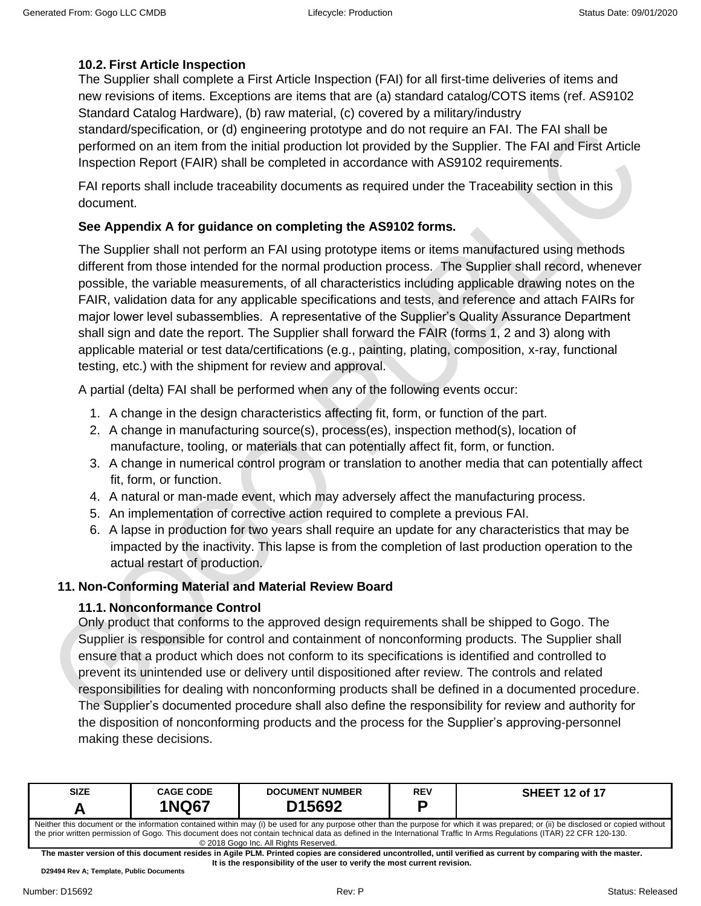## <span id="page-11-0"></span>**10.2. First Article Inspection**

The Supplier shall complete a First Article Inspection (FAI) for all first-time deliveries of items and new revisions of items. Exceptions are items that are (a) standard catalog/COTS items (ref. AS9102 Standard Catalog Hardware), (b) raw material, (c) covered by a military/industry standard/specification, or (d) engineering prototype and do not require an FAI. The FAI shall be performed on an item from the initial production lot provided by the Supplier. The FAI and First Article Inspection Report (FAIR) shall be completed in accordance with AS9102 requirements.

FAI reports shall include traceability documents as required under the Traceability section in this document.

### **See Appendix A for guidance on completing the AS9102 forms.**

The Supplier shall not perform an FAI using prototype items or items manufactured using methods different from those intended for the normal production process. The Supplier shall record, whenever possible, the variable measurements, of all characteristics including applicable drawing notes on the FAIR, validation data for any applicable specifications and tests, and reference and attach FAIRs for major lower level subassemblies. A representative of the Supplier's Quality Assurance Department shall sign and date the report. The Supplier shall forward the FAIR (forms 1, 2 and 3) along with applicable material or test data/certifications (e.g., painting, plating, composition, x-ray, functional testing, etc.) with the shipment for review and approval.

A partial (delta) FAI shall be performed when any of the following events occur:

- 1. A change in the design characteristics affecting fit, form, or function of the part.
- 2. A change in manufacturing source(s), process(es), inspection method(s), location of manufacture, tooling, or materials that can potentially affect fit, form, or function.
- 3. A change in numerical control program or translation to another media that can potentially affect fit, form, or function.
- 4. A natural or man-made event, which may adversely affect the manufacturing process.
- 5. An implementation of corrective action required to complete a previous FAI.
- 6. A lapse in production for two years shall require an update for any characteristics that may be impacted by the inactivity. This lapse is from the completion of last production operation to the actual restart of production.

### <span id="page-11-2"></span><span id="page-11-1"></span>**11. Non-Conforming Material and Material Review Board**

### **11.1. Nonconformance Control**

Only product that conforms to the approved design requirements shall be shipped to Gogo. The Supplier is responsible for control and containment of nonconforming products. The Supplier shall ensure that a product which does not conform to its specifications is identified and controlled to prevent its unintended use or delivery until dispositioned after review. The controls and related responsibilities for dealing with nonconforming products shall be defined in a documented procedure. The Supplier's documented procedure shall also define the responsibility for review and authority for the disposition of nonconforming products and the process for the Supplier's approving-personnel making these decisions.

| <b>SIZE</b>                                                                                                                                                                                                                                                                                                                                                                                           | <b>CAGE CODE</b><br><b>1NQ67</b> | <b>DOCUMENT NUMBER</b><br>D <sub>15692</sub> | REV | <b>SHEET 12 of 17</b> |  |
|-------------------------------------------------------------------------------------------------------------------------------------------------------------------------------------------------------------------------------------------------------------------------------------------------------------------------------------------------------------------------------------------------------|----------------------------------|----------------------------------------------|-----|-----------------------|--|
| Neither this document or the information contained within may (i) be used for any purpose other than the purpose for which it was prepared; or (ii) be disclosed or copied without<br>the prior written permission of Gogo. This document does not contain technical data as defined in the International Traffic In Arms Regulations (ITAR) 22 CFR 120-130.<br>© 2018 Gogo Inc. All Rights Reserved. |                                  |                                              |     |                       |  |

**The master version of this document resides in Agile PLM. Printed copies are considered uncontrolled, until verified as current by comparing with the master. It is the responsibility of the user to verify the most current revision.**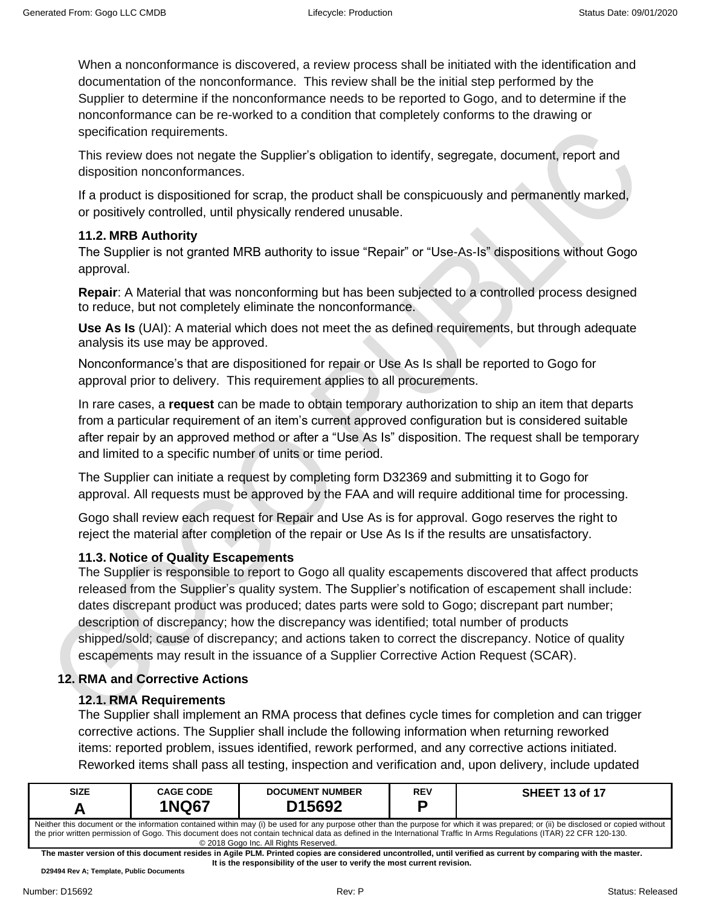When a nonconformance is discovered, a review process shall be initiated with the identification and documentation of the nonconformance. This review shall be the initial step performed by the Supplier to determine if the nonconformance needs to be reported to Gogo, and to determine if the nonconformance can be re-worked to a condition that completely conforms to the drawing or specification requirements.

This review does not negate the Supplier's obligation to identify, segregate, document, report and disposition nonconformances.

If a product is dispositioned for scrap, the product shall be conspicuously and permanently marked, or positively controlled, until physically rendered unusable.

## <span id="page-12-0"></span>**11.2. MRB Authority**

The Supplier is not granted MRB authority to issue "Repair" or "Use-As-Is" dispositions without Gogo approval.

**Repair**: A Material that was nonconforming but has been subjected to a controlled process designed to reduce, but not completely eliminate the nonconformance.

**Use As Is** (UAI): A material which does not meet the as defined requirements, but through adequate analysis its use may be approved.

Nonconformance's that are dispositioned for repair or Use As Is shall be reported to Gogo for approval prior to delivery. This requirement applies to all procurements.

In rare cases, a **request** can be made to obtain temporary authorization to ship an item that departs from a particular requirement of an item's current approved configuration but is considered suitable after repair by an approved method or after a "Use As Is" disposition. The request shall be temporary and limited to a specific number of units or time period.

The Supplier can initiate a request by completing form D32369 and submitting it to Gogo for approval. All requests must be approved by the FAA and will require additional time for processing.

Gogo shall review each request for Repair and Use As is for approval. Gogo reserves the right to reject the material after completion of the repair or Use As Is if the results are unsatisfactory.

# <span id="page-12-1"></span>**11.3. Notice of Quality Escapements**

The Supplier is responsible to report to Gogo all quality escapements discovered that affect products released from the Supplier's quality system. The Supplier's notification of escapement shall include: dates discrepant product was produced; dates parts were sold to Gogo; discrepant part number; description of discrepancy; how the discrepancy was identified; total number of products shipped/sold; cause of discrepancy; and actions taken to correct the discrepancy. Notice of quality escapements may result in the issuance of a Supplier Corrective Action Request (SCAR).

# <span id="page-12-2"></span>**12. RMA and Corrective Actions**

# <span id="page-12-3"></span>**12.1. RMA Requirements**

The Supplier shall implement an RMA process that defines cycle times for completion and can trigger corrective actions. The Supplier shall include the following information when returning reworked items: reported problem, issues identified, rework performed, and any corrective actions initiated. Reworked items shall pass all testing, inspection and verification and, upon delivery, include updated

| <b>SIZE</b>                                                                                                                                                                                                                                                                                                                                                                                           | <b>CAGE CODE</b><br><b>1NQ67</b> | <b>DOCUMENT NUMBER</b><br>D <sub>15692</sub> | REV | <b>SHEET 13 of 17</b> |  |
|-------------------------------------------------------------------------------------------------------------------------------------------------------------------------------------------------------------------------------------------------------------------------------------------------------------------------------------------------------------------------------------------------------|----------------------------------|----------------------------------------------|-----|-----------------------|--|
| Neither this document or the information contained within may (i) be used for any purpose other than the purpose for which it was prepared; or (ii) be disclosed or copied without<br>the prior written permission of Gogo. This document does not contain technical data as defined in the International Traffic In Arms Regulations (ITAR) 22 CFR 120-130.<br>© 2018 Gogo Inc. All Rights Reserved. |                                  |                                              |     |                       |  |

**The master version of this document resides in Agile PLM. Printed copies are considered uncontrolled, until verified as current by comparing with the master. It is the responsibility of the user to verify the most current revision.**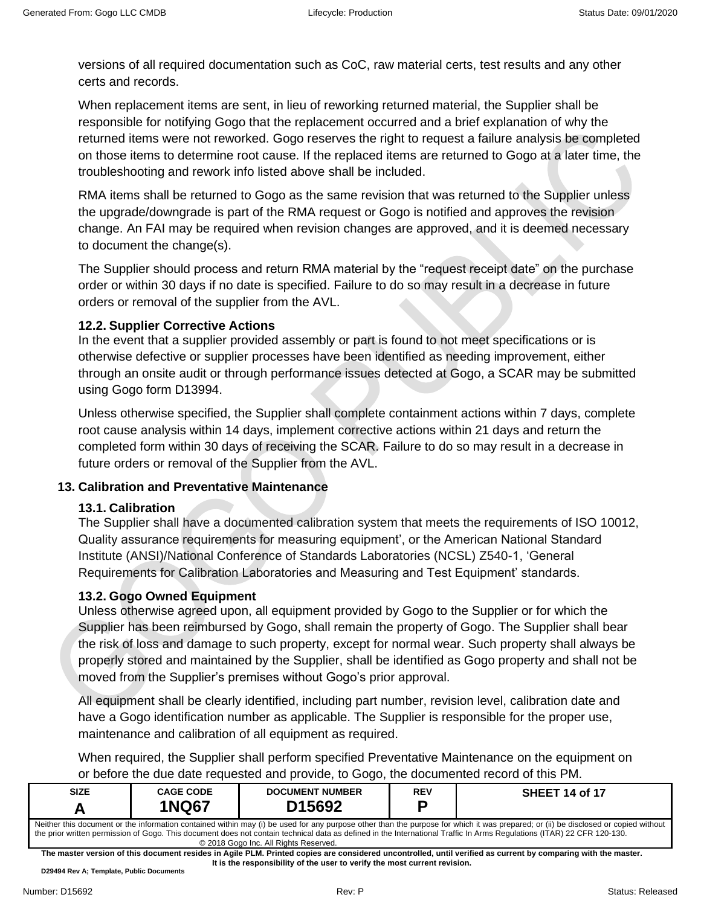versions of all required documentation such as CoC, raw material certs, test results and any other certs and records.

When replacement items are sent, in lieu of reworking returned material, the Supplier shall be responsible for notifying Gogo that the replacement occurred and a brief explanation of why the returned items were not reworked. Gogo reserves the right to request a failure analysis be completed on those items to determine root cause. If the replaced items are returned to Gogo at a later time, the troubleshooting and rework info listed above shall be included.

RMA items shall be returned to Gogo as the same revision that was returned to the Supplier unless the upgrade/downgrade is part of the RMA request or Gogo is notified and approves the revision change. An FAI may be required when revision changes are approved, and it is deemed necessary to document the change(s).

The Supplier should process and return RMA material by the "request receipt date" on the purchase order or within 30 days if no date is specified. Failure to do so may result in a decrease in future orders or removal of the supplier from the AVL.

## <span id="page-13-0"></span>**12.2. Supplier Corrective Actions**

In the event that a supplier provided assembly or part is found to not meet specifications or is otherwise defective or supplier processes have been identified as needing improvement, either through an onsite audit or through performance issues detected at Gogo, a SCAR may be submitted using Gogo form D13994.

Unless otherwise specified, the Supplier shall complete containment actions within 7 days, complete root cause analysis within 14 days, implement corrective actions within 21 days and return the completed form within 30 days of receiving the SCAR. Failure to do so may result in a decrease in future orders or removal of the Supplier from the AVL.

## <span id="page-13-2"></span><span id="page-13-1"></span>**13. Calibration and Preventative Maintenance**

## **13.1. Calibration**

The Supplier shall have a documented calibration system that meets the requirements of ISO 10012, Quality assurance requirements for measuring equipment', or the American National Standard Institute (ANSI)/National Conference of Standards Laboratories (NCSL) Z540-1, 'General Requirements for Calibration Laboratories and Measuring and Test Equipment' standards.

## <span id="page-13-3"></span>**13.2. Gogo Owned Equipment**

Unless otherwise agreed upon, all equipment provided by Gogo to the Supplier or for which the Supplier has been reimbursed by Gogo, shall remain the property of Gogo. The Supplier shall bear the risk of loss and damage to such property, except for normal wear. Such property shall always be properly stored and maintained by the Supplier, shall be identified as Gogo property and shall not be moved from the Supplier's premises without Gogo's prior approval.

All equipment shall be clearly identified, including part number, revision level, calibration date and have a Gogo identification number as applicable. The Supplier is responsible for the proper use, maintenance and calibration of all equipment as required.

When required, the Supplier shall perform specified Preventative Maintenance on the equipment on or before the due date requested and provide, to Gogo, the documented record of this PM.

| <b>SIZE</b>                                                                                                                                                                                                                                                                                                                                                                                           | <b>CAGE CODE</b><br><b>1NQ67</b> | <b>DOCUMENT NUMBER</b><br>D <sub>15692</sub> | <b>REV</b> | <b>SHEET 14 of 17</b> |  |
|-------------------------------------------------------------------------------------------------------------------------------------------------------------------------------------------------------------------------------------------------------------------------------------------------------------------------------------------------------------------------------------------------------|----------------------------------|----------------------------------------------|------------|-----------------------|--|
| Neither this document or the information contained within may (i) be used for any purpose other than the purpose for which it was prepared; or (ii) be disclosed or copied without<br>the prior written permission of Gogo. This document does not contain technical data as defined in the International Traffic In Arms Regulations (ITAR) 22 CFR 120-130.<br>© 2018 Gogo Inc. All Rights Reserved. |                                  |                                              |            |                       |  |

**The master version of this document resides in Agile PLM. Printed copies are considered uncontrolled, until verified as current by comparing with the master. It is the responsibility of the user to verify the most current revision.**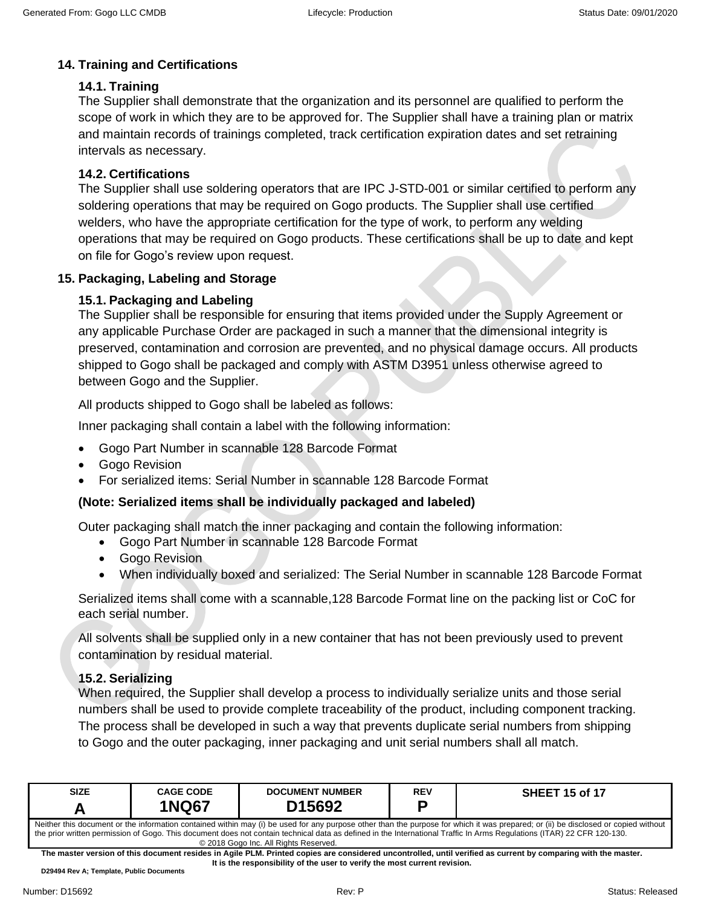# <span id="page-14-0"></span>**14. Training and Certifications**

## <span id="page-14-1"></span>**14.1. Training**

The Supplier shall demonstrate that the organization and its personnel are qualified to perform the scope of work in which they are to be approved for. The Supplier shall have a training plan or matrix and maintain records of trainings completed, track certification expiration dates and set retraining intervals as necessary.

### <span id="page-14-2"></span>**14.2. Certifications**

The Supplier shall use soldering operators that are IPC J-STD-001 or similar certified to perform any soldering operations that may be required on Gogo products. The Supplier shall use certified welders, who have the appropriate certification for the type of work, to perform any welding operations that may be required on Gogo products. These certifications shall be up to date and kept on file for Gogo's review upon request.

### <span id="page-14-4"></span><span id="page-14-3"></span>**15. Packaging, Labeling and Storage**

### **15.1. Packaging and Labeling**

The Supplier shall be responsible for ensuring that items provided under the Supply Agreement or any applicable Purchase Order are packaged in such a manner that the dimensional integrity is preserved, contamination and corrosion are prevented, and no physical damage occurs. All products shipped to Gogo shall be packaged and comply with ASTM D3951 unless otherwise agreed to between Gogo and the Supplier.

All products shipped to Gogo shall be labeled as follows:

Inner packaging shall contain a label with the following information:

- Gogo Part Number in scannable 128 Barcode Format
- Gogo Revision
- For serialized items: Serial Number in scannable 128 Barcode Format

### **(Note: Serialized items shall be individually packaged and labeled)**

Outer packaging shall match the inner packaging and contain the following information:

- Gogo Part Number in scannable 128 Barcode Format
- Gogo Revision
- When individually boxed and serialized: The Serial Number in scannable 128 Barcode Format

Serialized items shall come with a scannable,128 Barcode Format line on the packing list or CoC for each serial number.

All solvents shall be supplied only in a new container that has not been previously used to prevent contamination by residual material.

### <span id="page-14-5"></span>**15.2. Serializing**

When required, the Supplier shall develop a process to individually serialize units and those serial numbers shall be used to provide complete traceability of the product, including component tracking. The process shall be developed in such a way that prevents duplicate serial numbers from shipping to Gogo and the outer packaging, inner packaging and unit serial numbers shall all match.

| <b>SIZE</b>                                                                                                                                                                                                                                                                                                                                                                                           | <b>CAGE CODE</b> | <b>DOCUMENT NUMBER</b> | REV | <b>SHEET 15 of 17</b> |  |
|-------------------------------------------------------------------------------------------------------------------------------------------------------------------------------------------------------------------------------------------------------------------------------------------------------------------------------------------------------------------------------------------------------|------------------|------------------------|-----|-----------------------|--|
|                                                                                                                                                                                                                                                                                                                                                                                                       | <b>1NQ67</b>     | D <sub>15692</sub>     | o   |                       |  |
| Neither this document or the information contained within may (i) be used for any purpose other than the purpose for which it was prepared; or (ii) be disclosed or copied without<br>the prior written permission of Gogo. This document does not contain technical data as defined in the International Traffic In Arms Regulations (ITAR) 22 CFR 120-130.<br>© 2018 Gogo Inc. All Rights Reserved. |                  |                        |     |                       |  |

**The master version of this document resides in Agile PLM. Printed copies are considered uncontrolled, until verified as current by comparing with the master. It is the responsibility of the user to verify the most current revision.**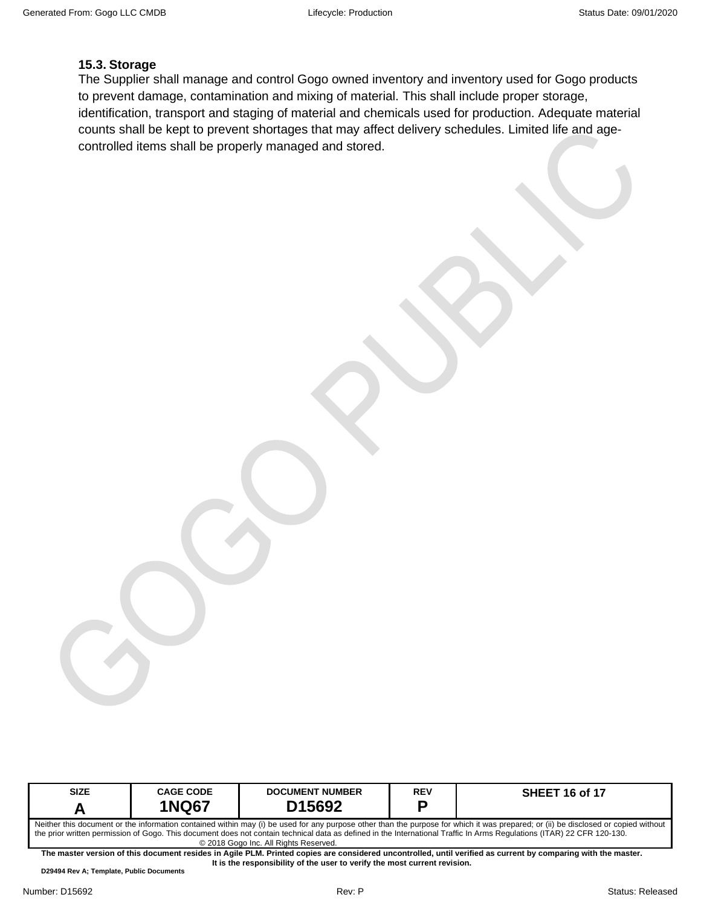### <span id="page-15-0"></span>**15.3. Storage**

The Supplier shall manage and control Gogo owned inventory and inventory used for Gogo products to prevent damage, contamination and mixing of material. This shall include proper storage, identification, transport and staging of material and chemicals used for production. Adequate material counts shall be kept to prevent shortages that may affect delivery schedules. Limited life and agecontrolled items shall be properly managed and stored.

| <b>SIZE</b>                                                                                                                                                                                                                                                                                                                                                                                           | <b>CAGE CODE</b> | <b>DOCUMENT NUMBER</b> | <b>REV</b> | <b>SHEET 16 of 17</b> |  |
|-------------------------------------------------------------------------------------------------------------------------------------------------------------------------------------------------------------------------------------------------------------------------------------------------------------------------------------------------------------------------------------------------------|------------------|------------------------|------------|-----------------------|--|
|                                                                                                                                                                                                                                                                                                                                                                                                       | <b>1NQ67</b>     | D <sub>15692</sub>     |            |                       |  |
| Neither this document or the information contained within may (i) be used for any purpose other than the purpose for which it was prepared; or (ii) be disclosed or copied without<br>the prior written permission of Gogo. This document does not contain technical data as defined in the International Traffic In Arms Regulations (ITAR) 22 CFR 120-130.<br>© 2018 Gogo Inc. All Rights Reserved. |                  |                        |            |                       |  |
| The master version of this document resides in Agile PLM. Printed copies are considered uncontrolled, until verified as current by comparing with the master.                                                                                                                                                                                                                                         |                  |                        |            |                       |  |
| It is the responsibility of the user to verify the most current revision.                                                                                                                                                                                                                                                                                                                             |                  |                        |            |                       |  |